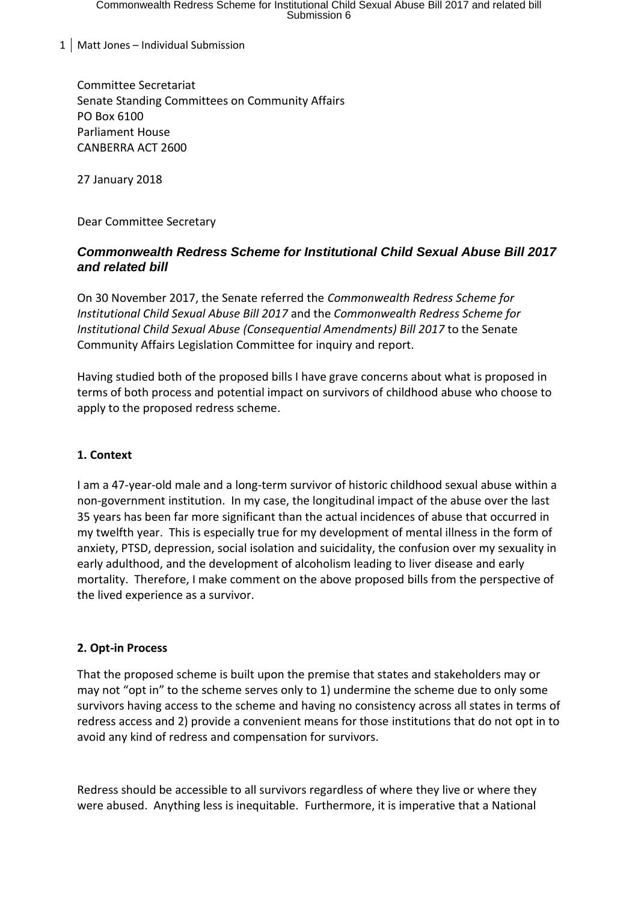1 | Matt Jones – Individual Submission

Committee Secretariat Senate Standing Committees on Community Affairs PO Box 6100 Parliament House CANBERRA ACT 2600

27 January 2018

Dear Committee Secretary

# *Commonwealth Redress Scheme for Institutional Child Sexual Abuse Bill 2017 and related bill*

On 30 November 2017, the Senate referred the *Commonwealth Redress Scheme for Institutional Child Sexual Abuse Bill 2017* and the *Commonwealth Redress Scheme for Institutional Child Sexual Abuse (Consequential Amendments) Bill 2017* to the Senate Community Affairs Legislation Committee for inquiry and report.

Having studied both of the proposed bills I have grave concerns about what is proposed in terms of both process and potential impact on survivors of childhood abuse who choose to apply to the proposed redress scheme.

### **1. Context**

I am a 47-year-old male and a long-term survivor of historic childhood sexual abuse within a non-government institution. In my case, the longitudinal impact of the abuse over the last 35 years has been far more significant than the actual incidences of abuse that occurred in my twelfth year. This is especially true for my development of mental illness in the form of anxiety, PTSD, depression, social isolation and suicidality, the confusion over my sexuality in early adulthood, and the development of alcoholism leading to liver disease and early mortality. Therefore, I make comment on the above proposed bills from the perspective of the lived experience as a survivor.

### **2. Opt-in Process**

That the proposed scheme is built upon the premise that states and stakeholders may or may not "opt in" to the scheme serves only to 1) undermine the scheme due to only some survivors having access to the scheme and having no consistency across all states in terms of redress access and 2) provide a convenient means for those institutions that do not opt in to avoid any kind of redress and compensation for survivors.

Redress should be accessible to all survivors regardless of where they live or where they were abused. Anything less is inequitable. Furthermore, it is imperative that a National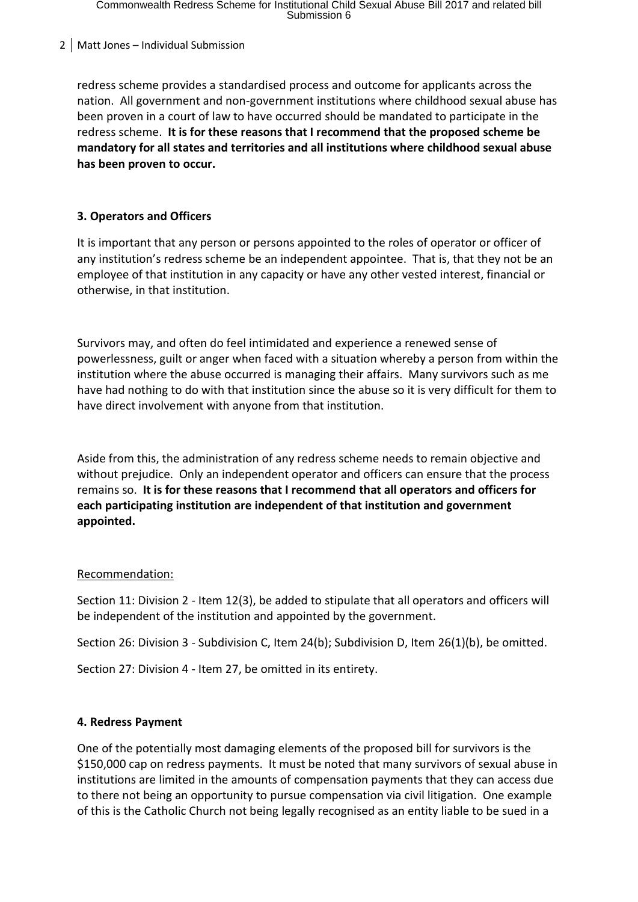2 | Matt Jones – Individual Submission

redress scheme provides a standardised process and outcome for applicants across the nation. All government and non-government institutions where childhood sexual abuse has been proven in a court of law to have occurred should be mandated to participate in the redress scheme. **It is for these reasons that I recommend that the proposed scheme be mandatory for all states and territories and all institutions where childhood sexual abuse has been proven to occur.**

# **3. Operators and Officers**

It is important that any person or persons appointed to the roles of operator or officer of any institution's redress scheme be an independent appointee. That is, that they not be an employee of that institution in any capacity or have any other vested interest, financial or otherwise, in that institution.

Survivors may, and often do feel intimidated and experience a renewed sense of powerlessness, guilt or anger when faced with a situation whereby a person from within the institution where the abuse occurred is managing their affairs. Many survivors such as me have had nothing to do with that institution since the abuse so it is very difficult for them to have direct involvement with anyone from that institution.

Aside from this, the administration of any redress scheme needs to remain objective and without prejudice. Only an independent operator and officers can ensure that the process remains so. **It is for these reasons that I recommend that all operators and officers for each participating institution are independent of that institution and government appointed.**

### Recommendation:

Section 11: Division 2 - Item 12(3), be added to stipulate that all operators and officers will be independent of the institution and appointed by the government.

Section 26: Division 3 - Subdivision C, Item 24(b); Subdivision D, Item 26(1)(b), be omitted.

Section 27: Division 4 - Item 27, be omitted in its entirety.

### **4. Redress Payment**

One of the potentially most damaging elements of the proposed bill for survivors is the \$150,000 cap on redress payments. It must be noted that many survivors of sexual abuse in institutions are limited in the amounts of compensation payments that they can access due to there not being an opportunity to pursue compensation via civil litigation. One example of this is the Catholic Church not being legally recognised as an entity liable to be sued in a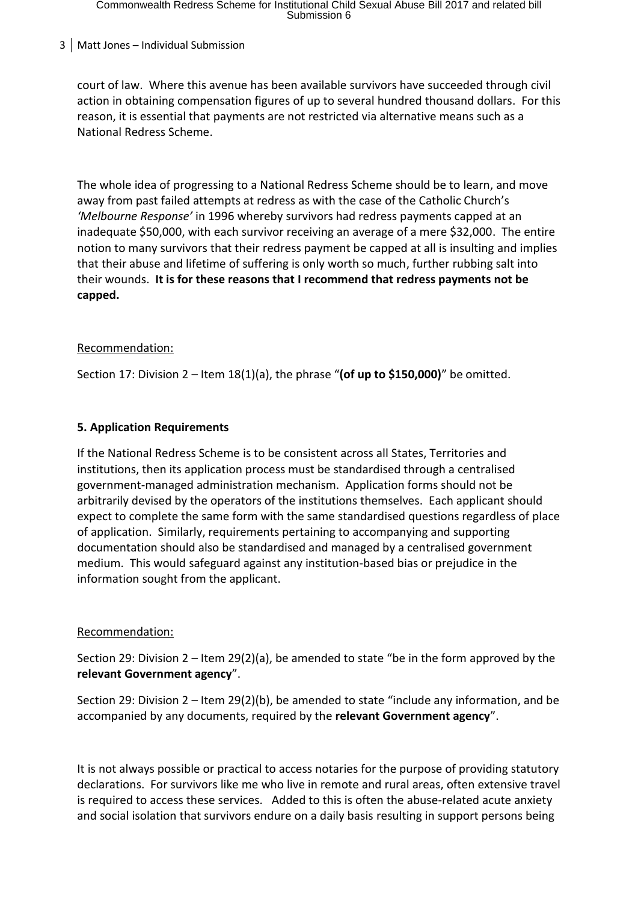# Commonwealth Redress Scheme for Institutional Child Sexual Abuse Bill 2017 and related bill<br>Submission 6

### 3 Matt Jones – Individual Submission

court of law. Where this avenue has been available survivors have succeeded through civil action in obtaining compensation figures of up to several hundred thousand dollars. For this reason, it is essential that payments are not restricted via alternative means such as a National Redress Scheme.

The whole idea of progressing to a National Redress Scheme should be to learn, and move away from past failed attempts at redress as with the case of the Catholic Church's *'Melbourne Response'* in 1996 whereby survivors had redress payments capped at an inadequate \$50,000, with each survivor receiving an average of a mere \$32,000. The entire notion to many survivors that their redress payment be capped at all is insulting and implies that their abuse and lifetime of suffering is only worth so much, further rubbing salt into their wounds. **It is for these reasons that I recommend that redress payments not be capped.**

### Recommendation:

Section 17: Division 2 – Item 18(1)(a), the phrase "**(of up to \$150,000)**" be omitted.

### **5. Application Requirements**

If the National Redress Scheme is to be consistent across all States, Territories and institutions, then its application process must be standardised through a centralised government-managed administration mechanism. Application forms should not be arbitrarily devised by the operators of the institutions themselves. Each applicant should expect to complete the same form with the same standardised questions regardless of place of application. Similarly, requirements pertaining to accompanying and supporting documentation should also be standardised and managed by a centralised government medium. This would safeguard against any institution-based bias or prejudice in the information sought from the applicant.

#### Recommendation:

Section 29: Division 2 – Item 29(2)(a), be amended to state "be in the form approved by the **relevant Government agency**".

Section 29: Division 2 – Item 29(2)(b), be amended to state "include any information, and be accompanied by any documents, required by the **relevant Government agency**".

It is not always possible or practical to access notaries for the purpose of providing statutory declarations. For survivors like me who live in remote and rural areas, often extensive travel is required to access these services. Added to this is often the abuse-related acute anxiety and social isolation that survivors endure on a daily basis resulting in support persons being